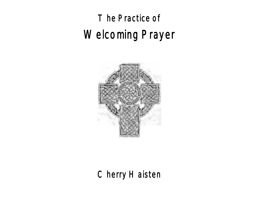# The Practice of Welcoming Prayer



# Cherry Haisten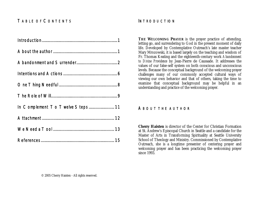## TABLE OFCONTENTS

| In Complement To Twelve Steps 11 |  |
|----------------------------------|--|
|                                  |  |
|                                  |  |

#### <span id="page-1-0"></span>INTRODUCTION

**THE WELCOMING PRAYER** is the prayer practice of attending, letting go, and surrendering to God in the present moment of daily life. Developed by Contemplative Outreach's late master teacher Mary Mrozowski, it is based largely on the teaching and wisdom of Fr. Thomas Keating and the eighteenth-century work *Abandonment to Divine Providence* by Jean-Pierre de Caussade. It addresses the values of our false-self system on both conscious and unconscious levels. Because the conceptual background of the welcoming prayer challenges many of our commonly accepted cultural ways of viewing our own behavior and that of others, taking the time to examine that conceptual background may be helpful in an understanding and practice of the welcoming prayer.

#### <span id="page-1-1"></span>ABOUT THE AUTHOR

**Cherry Haisten** is director of the Center for Christian Formation at St. Andrew's Episcopal Church in Seattle and a candidate for the Master of Arts in Transforming Spirituality at Seattle University School of Theology and Ministry. Commissioned by Contemplative Outreach, she is a longtime presenter of centering prayer and welcoming prayer and has been practicing the welcoming prayer since 1993.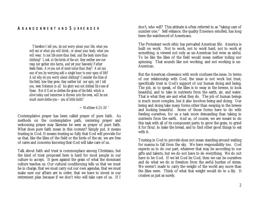#### <span id="page-2-0"></span>ABANDONMENT AND SURRENDER

 *Therefore I tell you, do not worry about your life, what you will eat or what you will drink, or about your body, what you will wear. Is not life more than food, and the body more than clothing? Look at the birds of the air; they neither sow nor reap nor gather into barns, and yet your heavenly Father feeds them. Are you not of more value than they? And can any of you by worrying add a single hour to your span of life? And why do you worry about clothing? Consider the lilies of the field, how they grow; they neither toil nor spin, yet I tell you, even Solomon in all his glory was not clothed like one of these. But if God so clothes the grass of the field, which is alive today and tomorrow is thrown into the oven, will he not much more clothe you— you of little faith?*

 *~ Matthew 6:25-30 <sup>1</sup>*

Contemplative prayer has been called prayer of pure faith. As methods on the contemplative path, centering prayer and welcoming prayer may likewise be seen as prayer of pure faith. What does pure faith mean in this context? Simply put, it means trusting in God. It means trusting so fully that God will provide for us that, like the lilies of the field or the birds of the air, we are free of cares and concerns knowing that God will take care of us.

Talk about faith and trust is commonplace among Christians, but the kind of trust proposed here is hard for most people in our culture to accept. It goes against the grain of what the dominant culture teaches us. Our cultural conditioning tells us that we must be in charge, that we must carry out our own agendas, that we must make sure our affairs are in order, that we have to invest in our retirement plan because if we don't who will take care of us. If I

don't, who will? This attitude is often referred to as "taking care of number one." Self-reliance, the quality Emerson extolled, has long been the watchword of Americans.

The Protestant work ethic has pervaded American life. America is built on work. Not to work, not to work hard, not to work at something, is viewed not only as un-American but even as sinful. To be like the lilies of the field would mean neither toiling nor spinning. That sounds like not working, and not working is un-American.

But the American obsession with work confuses the issue. In terms of our relationship with God, the issue is not work but trust, specifically trust in God's support of our human doing and being. The job, so to speak, of the lilies is to sway in the breeze, to look beautiful, and to take in nutrients from the earth, air, and water. That is what they are and what they do. The job of human beings is much more complex, but it also involves being and doing. Our being and doing take many forms other than swaying in the breeze and looking beautiful. Some of those forms have to do with feeding ourselves, for us a task more demanding than taking in nutrients from the earth. And so, of course, we are meant to do this task with all of its component parts: to grow the grain, to grind it for flour, to bake the bread, and to find other good things to eat with it.

Trusting in God to provide does not mean standing around waiting for manna to fall from the sky. We have responsibility too. God expects us to do our part, whatever that may be according to our gifts and talents, but we do not have to do everything. We do not have to be God. If we let God be God, then we can be ourselves and do what we do in freedom from the awful burden of stress. We weren't made to carry the weight of the world any more than the lilies were. Think of what that weight would do to a lily. It crushes us just as surely.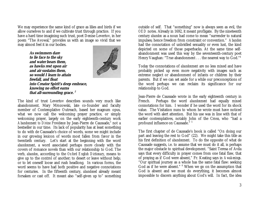We may experience the same kind of grace as lilies and birds if we allow ourselves to and if we cultivate trust through practice. If you have a hard time imagining such trust, poet Denise Levertov, in her poem "The Avowal," provides us with an image so vivid that we may almost feel it in our bodies.

> **As swimmers dare to lie face to the sky and water bears them, as hawks rest upon air and air sustains them, so would I learn to attain freefall, and float into Creator Spirit's deep embrace, knowing no effort earns that all-surrounding grace. 2**



The kind of trust Levertov describes sounds very much like abandonment. Mary Mrozowski, late co-founder and faculty member of Contemplative Outreach, based her magnum opus, what we now call the welcoming prayer practice, or simply welcoming prayer, largely on the early eighteenth-century work Abandonment to Divine Providence by Jean-Pierre de Caussade,<sup>3</sup> not a bestseller in our time. Its lack of popularity has at least something to do with de Caussade's choice of words, some we might include in our growing lexicon of words most fallen from favor in the twentieth century. Let's start at the beginning with the word *abandonment*, a word associated perhaps more closely with the covers of romance novels than with our relationship to God. The verb, *abandon*, according to the *Oxford English Dictionary*, means to give up to the control of another; to desert or leave without help; or to let oneself loose and rush headlong. In various forms, the word seems to have had both positive and negative connotations for centuries. In the fifteenth century, *abandoned* already meant forsaken or cast off. It meant also "self-given up to" something

outside of self. That "something" now is always seen as evil, the *OED* notes. Already in 1692, it meant profligate. By the nineteenth century *abandon* as a noun had come to mean "surrender to natural impulses; hence freedom from constraint or convention." *Abandon* had the connotation of unbridled sexuality or even lust, the kind depicted on some of those paperbacks. At the same time selfabandonment was used this way by the seventeenth-century poet Henry Vaughan: "True abandonment . . . the nearest way to God."<sup>4</sup>

Today the connotations of *abandonment* are no less mixed and have probably picked up even more negativity with images such as extreme neglect or abandonment of infants or children by their parents. But if we can set aside for a while our preconceptions of the word perhaps we can reclaim its significance for our relationship to God.

Jean-Pierre de Caussade wrote in the early eighteenth century in French. Perhaps the word *abandonment* had equally mixed connotations for him. I wonder if he used the word for its shock value. The Visitation nuns to whom he wrote must have noticed the word with alert attention. But his use was in line with that of earlier contemplatives, notably John of the Cross, who "had a profound influence on Caussade." 5

The first chapter of de Caussade's book is called "On doing our part and leaving the rest to God" (22). We might take this title as his first definition of *abandonment*. To do the opposite of what de Caussade suggests, i.e. to assume that we must do it all, is perhaps the major obstacle to spiritual development. "Saint Teresa of Avila says that every difficulty in prayer comes from one fatal flaw, that of praying as if God were absent," Fr. Keating says in *Awakenings*. "Our spiritual journey as a whole has the same fatal flaw: seeking God as if he were absent." <sup>6</sup> When we go on the assumption that God is absent and we must do everything, it becomes almost impossible to discern anything about God's will. In fact, the idea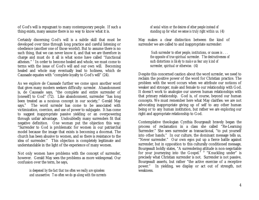of God's will is repugnant to many contemporary people. If such a thing exists, many assume there is no way to know what it is.

Certainly discerning God's will is a subtle skill that must be developed over time through long practice and careful listening or obedience (another one of those words!). But to assume there is no such thing, that we can never know it, and that we are therefore in charge and must do it all is what some have called "functional atheism." <sup>7</sup> In order to become healed and whole, we must come to terms with the issue of God's will and our own will. Becoming healed and whole may eventually lead to holiness, which de Caussade equates with "complete loyalty to God's will" (24).

As we explore de Caussade further we come upon another word that gives many modern seekers difficulty: *surrender*. Abandonment is, de Caussade says, "the complete and entire surrender of [oneself] to God" (72). Like abandonment, surrender "has long been treated as a noxious concept in our society," Gerald May says.<sup>8</sup> The word *surrender* has come to be associated with victimization, coercion, and use of power to subjugate. It has come to suggest inappropriate passive yielding or an overpowering through unfair advantage. Undoubtedly many surrenders fit that negative definition. One woman put the objection this way: "Surrender to God is problematic for women in our patriarchal model because the image that exists is becoming a doormat. The church has been abusive to women, and so there is resistance to the idea of surrender." This objection is completely legitimate and understandable in the light of the experience of many women.

Not only women have problems with the concept of surrender, however. Gerald May sees the problems as more widespread. Our confusion over the term, he says,

> *is deepened by the fact that too often we really are spineless and unassertive. Too often we do go along with the currents*

*of social whim or the desires of other people instead of standing up for what we sense is truly right within us.* (4)

May makes a clear distinction between the kind of surrender we are called to and inappropriate surrender:

> *Such surrender to other people, institutions, or causes is . . . the opposite of true spiritual surrender. The destructiveness of such distortions is likely to make us fear any kind of surrender, spiritual or otherwise.* (4)

Despite this concerned caution about the word *surrender*, we need to reclaim the positive power of the word for Christian practice. The problem with the word occurs when we attribute our notions of weaker and stronger, male and female to our relationship with God. It doesn't work to analogize our uneven human relationships with that primary relationship. God is, of course, beyond our human concepts. We must remember here what May clarifies: we are not advocating inappropriate giving up of self to any other human being or to any human institution, but rather we are exploring our right and appropriate relationship to God.

Contemplative theologian Cynthia Bourgeault bravely began the process of reclamation in a class she called "Re-Learning Surrender." She sees surrender as transactional, "to put yourself into other hands." In our culture, the dominant message tells us, "Never surrender." Our own egos put up a fierce battle against surrender, but in opposition to this culturally conditioned message, Bourgeault boldly states, "A surrendering attitude is non-negotiable for your journeying into the Gospel." <sup>9</sup> "Knuckling under" is precisely what Christian surrender is not. Surrender is not passive, Bourgeault asserts, but rather "the active exercise of a receptive power." In yielding, we display or act out of strength, not weakness.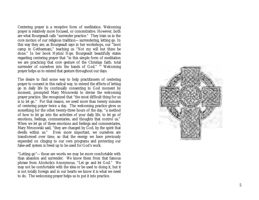Centering prayer is a receptive form of meditation. Welcoming prayer is relatively more focused, or concentrative. However, both are what Bourgeault calls "surrender practice." They train us in the core motion of our religious tradition— surrendering, letting go. In this way they are, as Bourgeault says in her workshops, our "boot camp in Gethsemani," teaching us "Not my will but thine be done." In her book *Mystical Hope,* Bourgeault beautifully states regarding centering prayer that "in this simple form of meditation we are practicing that core gesture of the Christian faith: total surrender of ourselves into the hands of God." <sup>10</sup> Welcoming prayer helps us to extend that gesture throughout our days.

The desire to find some way to help practitioners of centering prayer to consent in this radical way, to extend the effects of letting go in daily life by continually consenting to God moment by moment, prompted Mary Mrozowski to devise the welcoming prayer practice. She recognized that "the most difficult thing for us is to let go." For that reason, we need more than twenty minutes of centering prayer twice a day. The welcoming practice gives us something for the other twenty-three hours of the day, "a method of how to let go into the activities of your daily life, to let go of emotions, feelings, commentaries, and thoughts that control us." When we let go of these emotions and feelings and commentaries, Mary Mrozowski said, "they are changed by God, by the spirit that dwells within us." Even more important, we ourselves are transformed over time, so that the energy we have previously expended on clinging to our own programs and protecting our false-self system is freed up to be used for God's work.

"Letting go"— those are words we may be more comfortable with than abandon and surrender. We know them from that famous phrase from Alcoholics Anonymous, "Let go and let God." We may not be comfortable with the idea or be used to doing it, but it is not totally foreign and in our hearts we know it is what we need to do. The welcoming prayer helps us to put it into practice.

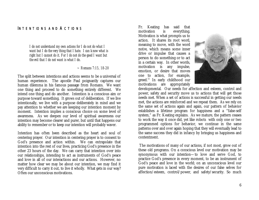#### <span id="page-6-0"></span>INTENTIONS AND ACTIONS

*I do not understand my own actions for I do not do what I want but I do the very thing that I hate. I can know what is right but I cannot do it. For I do not do the good I want but the evil that I do not want is what I do.*

*~ Romans 7:15, 18-20*

The split between intentions and actions seems to be a universal of human experience. The apostle Paul poignantly captures our human dilemma in his famous passage from Romans. We want one thing and proceed to do something entirely different. We intend one thing and do another. Intention is a conscious aim or purpose toward something. It grows out of deliberation. If we live intentionally, we live with a purpose deliberately in mind and we pay attention to whether we are keeping our intention moment by moment. Intention implies a conscious choice on some level of awareness. As we deepen our level of spiritual awareness our intention may become clearer and purer, but until that happens our ability to remember or to keep our intention will probably waver.

Intention has often been described as the heart and soul of centering prayer. Our intention in centering prayer is to consent to God's presence and action within. We can extrapolate that intention into the rest of our lives, practicing God's presence in the other 23 hours of the day. We can carry that intention over into our relationships, intending to act as instruments of God's peace and love in all of our interactions and our actions. However, no matter how clear we may be about our intention, we may find it very difficult to carry it out, to live it wholly. What gets in our way? Often our unconscious motivations.

Fr. Keating has said that motivation is everything. Motivation is what prompts us to action. It shares its root word, meaning to move, with the word *motive*, which means some inner drive or impulse that causes a person to do something or to act in a certain way. In other words, motivation is any impulse, emotion, or desire that moves one to action, for example, greed.<sup>11</sup> In early childhood our motivations are appropriately



developmental. Our needs for affection and esteem, control and power, safety and security move us to actions that will get those needs met. When a set of actions is successful in getting our needs met, the actions are reinforced and we repeat them. As we rely on the same set of actions again and again, our pattern of behavior establishes a lifetime program for happiness and a "false-self system," as Fr. Keating explains. As we mature, the pattern ceases to work the way it once did, yet like robots with only one or two programmed options for behavior, we continue in the same patterns over and over again hoping that they will eventually lead to the same success they did in infancy by bringing us happiness and contentment.

 The motivations of many of our actions, if not most, grow out of these old programs. On a conscious level our motivation may be synonymous with our intention— to love and serve God, to practice God's presence in every moment, to be an instrument of God's peace and love in the world; on an unconscious level our pure motivation is laced with the desires of our false selves for affection/esteem, control/power, and safety/security. So much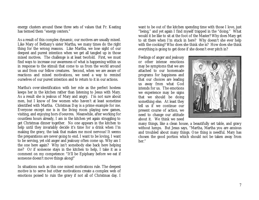energy clusters around these three sets of values that Fr. Keating has termed them "energy centers."

As a result of this complex dynamic, our motives are usually mixed. Like Mary of Bethany's sister Martha, we many times do the right thing for the wrong reasons. Like Martha, we lose sight of our deepest and purest intention when we get all tangled up in those mixed motives. The challenge is at least twofold. First, we must find ways to increase our awareness of what is happening within us in response to the stimuli that come to us from the world around us and from our fellow creatures. Second, when we are aware of reactions and mixed motivations, we need a way to remind ourselves of our purest intention and to return to it in our actions.

Martha's over-identification with her role as the perfect hostess keeps her in the kitchen rather than listening to Jesus with Mary. As a result she is jealous of Mary and angry. I'm not sure about men, but I know of few women who haven't at least sometime identified with Martha. Christmas Day is a prime example for me. Everyone except me is in the living room playing new games, visiting, and enjoying hors d'oeuvres. Meanwhile, after working for countless hours already, I am in the kitchen yet again struggling to get Christmas dinner together. No one appears in the kitchen to help until they invariably decide it's time for a drink when I'm making the gravy, the task that makes me most nervous! It seems the preparations are never going to end. I want to be loving, I want to be serving, yet old anger and jealousy often come up. Why am I the one here again? Why isn't somebody else back here helping me? Or if someone stays in the kitchen to help, I take it as a comment on my competence: "It'll be Epiphany before we eat if someone doesn't move things along!"

In situations such as this one mixed motivations rule. The deepest motive is to serve but other motivations create a complex web of emotions poised to ruin the gravy if not all of Christmas day. I

want to be out of the kitchen spending time with those I love, just "being," and yet again I find myself trapped in the "doing." What would it be like to sit at the foot of the Master? Why does Mary get to sit there when I'm stuck in here? Why doesn't she ever help with the cooking? Who does she think she is? How does she think everything is going to get done if she doesn't ever pitch in?

Feelings of anger and jealousy or other intense emotions may be symptoms that we are attached to our homemade programs for happiness and that our choices are leading us away from what God intends for us. The emotions we experience may be signs that we should be doing something else. At least they tell us if we continue our present course of action, we need to change our attitude about it. We think we need



many things, like a clean house, a beautifully set table, and gravy without lumps. But Jesus says, "Martha, Martha you are anxious and troubled about many things. One thing is needful. Mary has chosen the good portion which should not be taken away from her."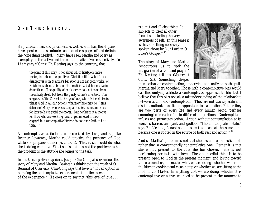#### <span id="page-8-0"></span>ONE THING NEEDFUL

Scripture scholars and preachers, as well as armchair theologians, have spent countless minutes and countless pages of text defining the "one thing needful." Many have seen Martha and Mary as exemplifying the active and the contemplative lives respectively. In *The Mystery of Christ*, Fr. Keating says, to the contrary, that

> *the point of this story is not about which lifestyle is more perfect, but about the quality of Christian life. What Jesus disapproves of in Martha's behavior is not her good works, of which he is about to become the beneficiary, but her motive in doing them. The quality of one's service does not come from the activity itself, but from the purity of one's intention. The single eye of the Gospel is the eye of love, which is the desire to please God in all our actions, whatever these may be. Jesus' defense of Mary, who was sitting at his feet, is not an excuse for lazy folks to avoid the chores. But neither is it a motive for those who are working hard to get annoyed if those engaged in a contemplative lifestyle do not come forth to help them. <sup>12</sup>*

A contemplative attitude is characterized by love, and so, like Brother Lawrence, Martha could practice the presence of God while she prepares dinner (as could I). That is, she could do what she is doing with love. What she is doing is not the problem; rather the problem is the attitude she brings to the task.

In *The Contemplative Experience,* Joseph Chu-Cong also examines the story of Mary and Martha. Basing his thinking on the work of St. Bernard of Clairvaux, Chu-Cong says that love is "not an option in pursuing the contemplative experience but . . . the essence of the experience." He goes on to say that "this level of love . . .

is direct and all-absorbing. It subjects to itself all other faculties, including the very awareness of self. In this sense it is that 'one thing necessary' spoken about by Our Lord in St. Luke's Gospel." 13

The story of Mary and Martha "encourages us to seek the integration of action and prayer," Fr. Keating tells us (*Mystery of Christ* 51). Something deeper



than action or contemplation, underlying and unifying both, pulls Martha and Mary together. Those with a contemplative bias would call this unifying attitude a contemplative approach to life, but I believe that this bias reveals a misunderstanding of the relationship between action and contemplation. They are not two separate and distinct outlooks on life in opposition to each other. Rather they are two parts of every life and every human being, perhaps commingled in each of us in different proportions. Contemplation infuses and permeates action. Action without contemplation at its worst is barren, arrogant, and godless. "The contemplative state," says Fr. Keating, "enables one to rest and act at the same time because one is rooted in the source of both rest and action." <sup>14</sup>

And so Martha's problem is not that she has chosen an active role rather than a conventionally contemplative one. Rather it is that she is not present to the role she has chosen. She is not performing her tasks with love. The one needful thing is to be present, open to God in the present moment, and loving toward those around us, no matter what we are doing--whether we are in the kitchen cooking and cleaning up or whether we are sitting at the foot of the Master. In anything that we are doing, whether it is contemplative or active, we need to be present in the moment to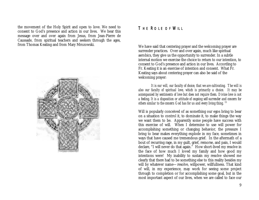the movement of the Holy Spirit and open to love. We need to consent to God's presence and action in our lives. We hear this message over and over again from Jesus, from Jean-Pierre de Caussade, from spiritual teachers and seekers through the ages, from Thomas Keating and from Mary Mrozowski.

<span id="page-9-0"></span>

#### THE ROLE OF WILL

We have said that centering prayer and the welcoming prayer are surrender practices. Over and over again, much like spiritual aerobics, they give us the opportunity to surrender. In a subtle internal motion we exercise the choice to return to our intention, to consent to God's presence and action in our lives. According to Fr. Keating it is an exercise of intention and consent. What Fr. Keating says about centering prayer can also be said of the welcoming prayer:

*It is our will, our faculty of choice, that we are cultivating. The will is also our faculty of spiritual love, which is primarily a choice. It may be accompanied by sentiments of love but does not require them. Divine love is not a feeling. It is a disposition or attitude of ongoing self-surrender and concern for others similar to the concern God has for us and every living thing.* <sup>15</sup>

Will is popularly conceived of as something our egos bring to bear on a situation to control it, to dominate it, to make things the way we want them to be. Apparently some people have success with this exercise of will. When I determine to use will power for accomplishing something or changing behavior, the pressure I bring to bear makes everything explode in my face, sometimes in ways that have caused me tremendous grief. In the aftermath of a bout of recurring rage, in my guilt, grief, remorse, and pain, I would declare, "I will never do that again." How short-lived my resolve in the face of how much I loved my family and how good my intentions were! My inability to sustain my resolve showed me clearly that there had to be something else to this reality besides my will by whatever name— resolve, willpower, willfullness. That kind of will, in my experience, may work for seeing some project through to completion or for accomplishing some goal, but in the most important aspect of our lives, when we are called to face our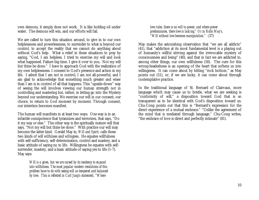own demons, it simply does not work. It is like holding oil under water. The demons will win, and our efforts will fail.

We are called to turn this situation around, to give in to our own helplessness and powerlessness, to surrender to what is beyond our control, to accept the reality that we cannot do anything about without God's help. What a relief in these situations to pray by saying, "God, I am helpless. I tried to exercise my will and look what happened. Failure big time. I give it over to you. Not my will but thine be done." I have to approach God with the realization of my own helplessness. I consent to God's presence and action in my life. I admit that I am not in control, I am not all-powerful, and I am glad to acknowledge that something much greater and wiser than I am is in control of all that happens. This "upside-down" way of seeing the will involves viewing our human strength not in controlling and mastering but, rather, in letting go into the Mystery beyond our understanding. We exercise our will in our consent, our choice, to return to God moment by moment. Through consent, our intention becomes manifest.

The human will manifests in at least two ways. One way is in an infantile omnipotence that tyrannizes and terrorizes, that says, "Do it my way or else." The other way is the spiritually mature will that says, "Not my will but thine be done." With practice our will may become the latter kind. Gerald May in, *Will and Spirit,* calls these two kinds of will *willfulness* and *willingness*. He equates willfulness with self-sufficiency, self-determination, control and mastery, and a basic attitude of saying no to life. Willingness he equates with selfsurrender, mastery, and a basic attitude of saying yes to life (1-7). May says:

> *Will is a given, but we are cursed by its tendency to expand into willfulness. The most popular modern resolutions of this problem have to do with seeing will as tempered and balanced by love. This is reflected in Carl Jung's statement, "Where*

*love rules, there is no will to power; and where power predominates, there love is lacking." Or in Rollo May's, "Will without love becomes manipulation." (*37)

May makes the astonishing observation that "we are all addicts" (41), that "addiction at its most fundamental level is a playing out of humanity's willful striving against the irrevocable mystery of consciousness and being" (40), and that in fact we are addicted to, among other things, our own willfulness (50). The cure for this wrong-headedness is an opening of the heart that softens us into willingness. It can come about by hitting "rock bottom," as May points out (51), or, if we are lucky, it can come about through contemplative practice.

In the traditional language of St. Bernard of Clairvaux, more language which may cause us to bristle, what we are seeking is "conformity of will," a disposition toward God that is so transparent as to be identical with God's disposition toward us. Chu-Cong points out that this is "Bernard's expression for the direct experience of a mutual embrace." "Unlike the agreement of the mind that is mediated through language," Chu-Cong writes, "the embrace of love is direct and perfectly intimate" (81).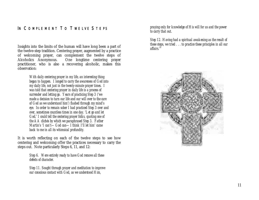## <span id="page-11-0"></span>IN COMPLEMENT TO TWELVE STEPS

Insights into the limits of the human will have long been a part of the twelve-step tradition. Centering prayer, augmented by a practice of welcoming prayer, can complement the twelve steps of Alcoholics Anonymous. One longtime centering prayer One longtime centering prayer practitioner, who is also a recovering alcoholic, makes this observation:

> *With daily centering prayer in my life, an interesting thing began to happen. I longed to carry the awareness of God into my daily life, not just in the twenty-minute prayer times. I was told that centering prayer in daily life is a process of surrender and letting go. Years of practicing Step 3 ('we made a decision to turn our life and our will over to the care of God as we understand him') flashed through my mind's eye. In order to remain sober I had practiced Step 3 over and over, sometimes countless times in one day. 'Let go and let God,' I could tell the centering prayer folks, quoting one of the AA clichés by which we paraphrased Step 3. Father Martin's 'I can't— God can— I think I'll let him' came back to me in all its whimsical profundity.*

It is worth reflecting on each of the twelve steps to see how centering and welcoming offer the practices necessary to carry the steps out. Note particularly Steps 6, 11, and 12:

> *Step 6. Were entirely ready to have God remove all these defects of character.*

*Step 11. Sought through prayer and meditation to improve our conscious contact with God, as we understood Him,*

*praying only for knowledge of His will for us and the power to carry that out.*

*Step 12. Having had a spiritual awakening as the result of these steps, we tried . . . to practice these principles in all our affairs.16*

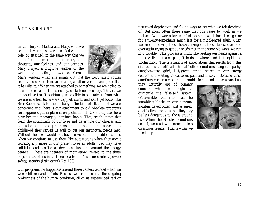#### <span id="page-12-0"></span>**ATTACHMENT**

In the story of Martha and Mary, we have seen that Martha is over-identified with her role, or attached, in the same way that we are often attached to our roles, our thoughts, our feelings, and our agendas. Mary Dwyer, a longtime teacher of the welcoming practice, draws on Gerald



May's wisdom when she points out that the word *attach* comes from the old French noun meaning *a nail* or verb meaning *to nail or to be nailed to*. <sup>17</sup> When we are attached to something, we are nailed to it, connected almost inextricably, or fastened securely. That is, we are so close that it is virtually impossible to separate us from what we are attached to. We are trapped, stuck, and can't get loose, like Brer Rabbit stuck to the tar baby. The kind of attachment we are concerned with here is our attachment to old obsolete programs for happiness put in place in early childhood. Over long use these have become thoroughly ingrained habits. They are the tapes that form the soundtrack of our lives and determine our choices and our actions. These programs are not bad in themselves. In childhood they served us well to get our instinctual needs met. Without them we would not have survived. The problem comes when we continue to use them like automatons when they aren't working any more in our present lives as adults. Yet they have solidified and ossified as demands clustering around the energy centers. These are "centers of motivation" related to the three major areas of instinctual needs: affection/esteem; control/power; safety/security (*Intimacy with God* 163).

Our programs for happiness around these centers worked when we were children and infants. Because we are born into the ongoing brokenness of the human condition, all of us experienced real or perceived deprivation and found ways to get what we felt deprived of. But most often these same methods cease to work as we mature. What works for an infant does not work for a teenager or for a twenty-something, much less for a middle-aged adult. When we keep following these tracks, living out these tapes, over and over again trying to get our needs met in the same old ways, we run into trouble. This process is much like beating our heads against a brick wall: it creates pain, it leads nowhere, and it is rigid and unchanging. The frustration of expectations that results from this situation sets off all the afflictive emotions— anger, apathy, envy/jealousy, grief, lust/greed, pride— stored in our energy centers and waiting to cause us pain and misery. Because these emotions can create so much trouble for us and those around us,

they naturally are of primary concern when we begin to dismantle the false-self system. (Pleasurable emotions can be stumbling blocks in our personal spiritual development just as surely as afflictive emotions, but they may be less dangerous to those around us.) When the afflictive emotions go off, we react with more or less disastrous results. That is when we need help.

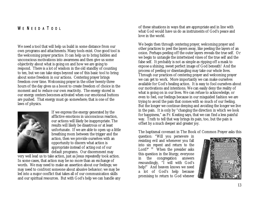# <span id="page-13-0"></span>WE NEED A TOOL

We need a tool that will help us build in some distance from our own programs and attachments. Many tools exist. One good tool is the welcoming prayer practice. It can help us to bring hidden and unconscious motivations into awareness and then give us some objectivity about what is going on and how we are going to respond. There is a lot of wisdom in the old standby of counting to ten, but we can take steps beyond use of this basic tool to bring about some freedom in our actions. Centering prayer brings freedom over time. Welcoming prayer in the other twenty-three hours of the day gives us a boost to create freedom of choice in the moment and to reduce our own reactivity. The energy stored in our energy centers becomes activated when our emotional buttons are pushed. That energy must go somewhere; that is one of the laws of physics.



If we express the energy generated by the afflictive emotions in unconscious reaction, our actions will likely be inappropriate. The results will likely be disastrous or at least unfortunate. If we are able to open up a little breathing room between the trigger and the action, then we provide ourselves with an opportunity to discern what action is appropriate instead of acting out of our default programs. Our discernment may

very well lead us to take action, just as Jesus repeatedly took action. In some cases, that action may be no more than an exchange of words. We may need to make an assertion about our feelings; we may need to confront someone about abusive behavior; we may be led into a major conflict that takes all of our communication skills and our spiritual resources. But with God's help we can handle any of these situations in ways that are appropriate and in line with what God would have us do as instruments of God's peace and love in the world.

We begin then through centering prayer, welcoming prayer and other practices to peel the layers away, like peeling the layers of an onion. Perhaps peeling off the outer layers reveals the true self. Or we begin to untangle the intertwined vines of the true self and the false self. It probably is not as simple as ripping off a mask to expose a shining, sweet perfect image of God beneath! And the process of peeling or disentangling may take our whole lives. Through our practices of centering prayer and welcoming prayer we can get to work. More importantly we can make ourselves available for God's healing action. It is easy to fool ourselves about our motivations and intentions. We can easily deny the reality of what is going on in our lives. We can refuse to acknowledge, or even to feel, our feelings because in our misguided fashion we are trying to avoid the pain that comes with so much of our feeling. But the longer we continue denying and avoiding the longer we live in the pain. It is only by "changing the direction in which we look for happiness," as Fr. Keating says, that we can find a less painful way. Truth to tell that way brings its pain, too, but the pain is offset by a much deeper and greater joy.

The baptismal covenant in The Book of Common Prayer asks this

question: "Will you persevere in resisting evil and whenever you fall into sin repent and return to the Lord?" $18$  When the presider asks this question in the liturgy, everyone in the congregation answers resoundingly, "I will with God's help!" And heaven knows we need a lot of God's help because promising to return to God *whenever*

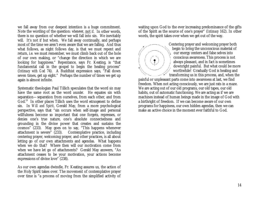we fall away from our deepest intention is a huge commitment. Note the wording of the question: *whenever*, not *if*. In other words, there is no question of whether we will fall into sin. We inevitably will. It's not if but when. We fall away continually, and perhaps most of the time we aren't even aware that we are falling. And thus what follows, as night follows day, is that we must repent and return, i.e. we must remember, we must climb back out of the hole of our own making, or "change the direction in which we are looking for happiness." Repentance, says Fr. Keating, is "that fundamental call in the gospel to begin the healing process" (*Intimacy with God* 74). A Buddhist expression says, "Fall down seven times, get up eight." Perhaps the number of times we get up again is almost infinite.

Systematic theologian Paul Tillich speculates that the word *sin* may have the same root as the word *asunder*. He equates sin with separation— separation from ourselves, from each other, and from God.<sup>19</sup> In other places Tillich uses the word *estrangement* to define sin. In *Will and Spirit*, Gerald May, from a more psychological perspective, says that "sin occurs when self-image and personal willfulness become so important that one forgets, represses, or denies one's true nature, one's absolute connectedness and grounding in the divine power that creates and sustains the cosmos" (233). May goes on to say, "This happens whenever attachment is severe" (233). Contemplative practice, including centering prayer, welcoming prayer, and other practices, is all about letting go of our own attachments and agendas. What happens when we do that? Where then will our motivation come from when we have let go of attachments? Gerald May answers, "As attachment ceases to be your motivation, your actions become expressions of divine love" (238).

As our own agendas dwindle, Fr. Keating assures us, the action of the Holy Spirit takes over. The movement of contemplative prayer over time is "a process of moving from the simplified activity of

waiting upon God to the ever increasing predominance of the gifts of the Spirit as the source of one's prayer" (*Intimacy* 162). In other words, the spirit takes over when we get out of the way.



Centering prayer and welcoming prayer both begin to bring the unconscious material of our energy centers and false selves into conscious awareness. This process is not always pleasant, and in fact is sometimes downright painful. But what could be more worthwhile! Gradually God is healing and transforming us in this process, and, when the

painful or unpleasant parts come into awareness at last, we find freedom. When not acting consciously, we are just rats in a maze. We are acting out of our old programs, our old tapes, our old habits, out of automatic functioning. We are acting as if we are machines instead of human beings made in the image of God with a birthright of freedom. If we can become aware of our own programs for happiness, our own hidden agendas, then we can make an active choice in the moment ever faithful to God.